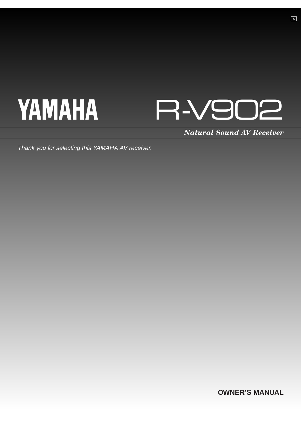# **YAMAHA**



*Natural Sound AV Receiver*

Thank you for selecting this YAMAHA AV receiver.

**OWNER'S MANUAL**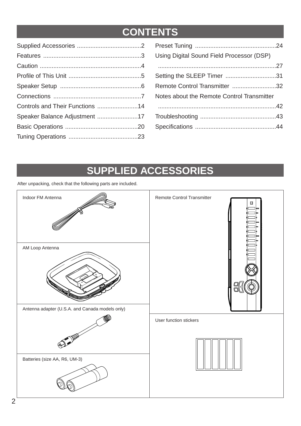# **CONTENTS**

| Using Digital Sound Field Processor (DSP)  |
|--------------------------------------------|
|                                            |
| Setting the SLEEP Timer 31                 |
| Remote Control Transmitter 32              |
| Notes about the Remote Control Transmitter |
|                                            |
|                                            |
|                                            |
|                                            |

# **SUPPLIED ACCESSORIES**

After unpacking, check that the following parts are included.

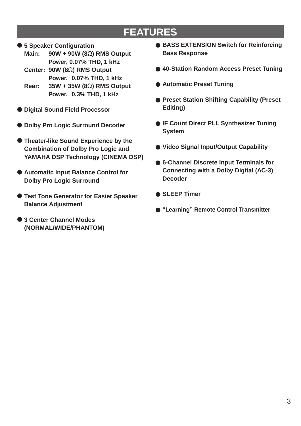# **FEATURES**

● **5 Speaker Configuration**

**Main: 90W + 90W (8**Ω**) RMS Output Power, 0.07% THD, 1 kHz**

- **Center: 90W (8**Ω**) RMS Output Power, 0.07% THD, 1 kHz**
- **Rear: 35W + 35W (8**Ω**) RMS Output Power, 0.3% THD, 1 kHz**
- **Digital Sound Field Processor**
- **Dolby Pro Logic Surround Decoder**
- **Theater-like Sound Experience by the Combination of Dolby Pro Logic and YAMAHA DSP Technology (CINEMA DSP)**
- **Automatic Input Balance Control for Dolby Pro Logic Surround**
- **Test Tone Generator for Easier Speaker Balance Adjustment**
- **3 Center Channel Modes (NORMAL/WIDE/PHANTOM)**
- **BASS EXTENSION Switch for Reinforcing Bass Response**
- 40-Station Random Access Preset Tuning
- **Automatic Preset Tuning**
- **Preset Station Shifting Capability (Preset Editing)**
- **IF Count Direct PLL Synthesizer Tuning System**
- **Video Signal Input/Output Capability**
- **6-Channel Discrete Input Terminals for Connecting with a Dolby Digital (AC-3) Decoder**
- **SLEEP Timer**
- **"Learning" Remote Control Transmitter**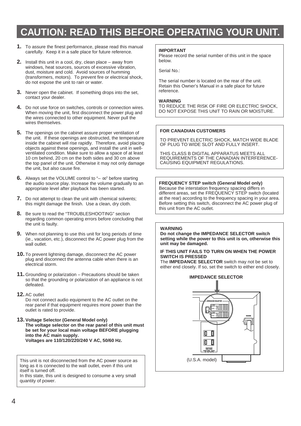# **CAUTION: READ THIS BEFORE OPERATING YOUR UNIT.**

- **1.** To assure the finest performance, please read this manual carefully. Keep it in a safe place for future reference.
- **2.** Install this unit in a cool, dry, clean place away from windows, heat sources, sources of excessive vibration, dust, moisture and cold. Avoid sources of humming (transformers, motors). To prevent fire or electrical shock, do not expose the unit to rain or water.
- **3.** Never open the cabinet. If something drops into the set, contact your dealer.
- **4.** Do not use force on switches, controls or connection wires. When moving the unit, first disconnect the power plug and the wires connected to other equipment. Never pull the wires themselves.
- **5.** The openings on the cabinet assure proper ventilation of the unit. If these openings are obstructed, the temperature inside the cabinet will rise rapidly. Therefore, avoid placing objects against these openings, and install the unit in wellventilated condition. Make sure to allow a space of at least 10 cm behind, 20 cm on the both sides and 30 cm above the top panel of the unit. Otherwise it may not only damage the unit, but also cause fire.
- **6.** Always set the VOLUME control to "– ∞" before starting the audio source play. Increase the volume gradually to an appropriate level after playback has been started.
- **7.** Do not attempt to clean the unit with chemical solvents; this might damage the finish. Use a clean, dry cloth.
- **8.** Be sure to read the "TROUBLESHOOTING" section regarding common operating errors before concluding that the unit is faulty.
- **9.** When not planning to use this unit for long periods of time (ie., vacation, etc.), disconnect the AC power plug from the wall outlet.
- **10.** To prevent lightning damage, disconnect the AC power plug and disconnect the antenna cable when there is an electrical storm.
- **11.** Grounding or polarization Precautions should be taken so that the grounding or polarization of an appliance is not defeated.
- **12.** AC outlet

Do not connect audio equipment to the AC outlet on the rear panel if that equipment requires more power than the outlet is rated to provide.

**13. Voltage Selector (General Model only) The voltage selector on the rear panel of this unit must be set for your local main voltage BEFORE plugging into the AC main supply. Voltages are 110/120/220/240 V AC, 50/60 Hz.**

This unit is not disconnected from the AC power source as long as it is connected to the wall outlet, even if this unit itself is turned off.

In this state, this unit is designed to consume a very small quantity of power.

### **IMPORTANT**

Please record the serial number of this unit in the space below.

Serial No.:

The serial number is located on the rear of the unit. Retain this Owner's Manual in a safe place for future reference.

### **WARNING**

TO REDUCE THE RISK OF FIRE OR ELECTRIC SHOCK, DO NOT EXPOSE THIS UNIT TO RAIN OR MOISTURE.

### **FOR CANADIAN CUSTOMERS**

TO PREVENT ELECTRIC SHOCK, MATCH WIDE BLADE OF PLUG TO WIDE SLOT AND FULLY INSERT.

THIS CLASS B DIGITAL APPARATUS MEETS ALL REQUIREMENTS OF THE CANADIAN INTERFERENCE-CAUSING EQUIPMENT REGULATIONS.

**FREQUENCY STEP switch (General Model only)** Because the interstation frequency spacing differs in different areas, set the FREQUENCY STEP switch (located at the rear) according to the frequency spacing in your area. Before setting this switch, disconnect the AC power plug of this unit from the AC outlet.

### **WARNING**

**Do not change the IMPEDANCE SELECTOR switch setting while the power to this unit is on, otherwise this unit may be damaged.**

#### **IF THIS UNIT FAILS TO TURN ON WHEN THE POWER SWITCH IS PRESSED**

The **IMPEDANCE SELECTOR** switch may not be set to either end closely. If so, set the switch to either end closely.

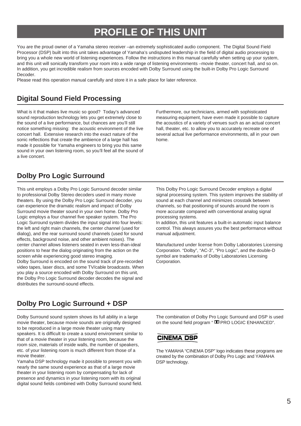# **PROFILE OF THIS UNIT**

You are the proud owner of a Yamaha stereo receiver –an extremely sophisticated audio component. The Digital Sound Field Processor (DSP) built into this unit takes advantage of Yamaha's undisputed leadership in the field of digital audio processing to bring you a whole new world of listening experiences. Follow the instructions in this manual carefully when setting up your system, and this unit will sonically transform your room into a wide range of listening environments –movie theater, concert hall, and so on. In addition, you get incredible realism from sources encoded with Dolby Surround using the built-in Dolby Pro Logic Surround Decoder.

Please read this operation manual carefully and store it in a safe place for later reference.

# **Digital Sound Field Processing**

What is it that makes live music so good? Today's advanced sound reproduction technology lets you get extremely close to the sound of a live performance, but chances are you'll still notice something missing: the acoustic environment of the live concert hall. Extensive research into the exact nature of the sonic reflections that create the ambience of a large hall has made it possible for Yamaha engineers to bring you this same sound in your own listening room, so you'll feel all the sound of a live concert.

Furthermore, our technicians, armed with sophisticated measuring equipment, have even made it possible to capture the acoustics of a variety of venues such as an actual concert hall, theater, etc. to allow you to accurately recreate one of several actual live performance environments, all in your own home.

### **Dolby Pro Logic Surround**

This unit employs a Dolby Pro Logic Surround decoder similar to professional Dolby Stereo decoders used in many movie theaters. By using the Dolby Pro Logic Surround decoder, you can experience the dramatic realism and impact of Dolby Surround movie theater sound in your own home. Dolby Pro Logic employs a four channel five speaker system. The Pro Logic Surround system divides the input signal into four levels: the left and right main channels, the center channel (used for dialog), and the rear surround sound channels (used for sound effects, background noise, and other ambient noises). The center channel allows listeners seated in even less-than-ideal positions to hear the dialog originating from the action on the screen while experiencing good stereo imaging. Dolby Surround is encoded on the sound track of pre-recorded video tapes, laser discs, and some TV/cable broadcasts. When you play a source encoded with Dolby Surround on this unit, the Dolby Pro Logic Surround decoder decodes the signal and distributes the surround-sound effects.

This Dolby Pro Logic Surround Decoder employs a digital signal processing system. This system improves the stability of sound at each channel and minimizes crosstalk between channels, so that positioning of sounds around the room is more accurate compared with conventional analog signal processing systems.

In addition, this unit features a built-in automatic input balance control. This always assures you the best performance without manual adjustment.

Manufactured under license from Dolby Laboratories Licensing Corporation. "Dolby", "AC-3", "Pro Logic", and the double-D symbol are trademarks of Dolby Laboratories Licensing Corporation.

# **Dolby Pro Logic Surround + DSP**

Dolby Surround sound system shows its full ability in a large movie theater, because movie sounds are originally designed to be reproduced in a large movie theater using many speakers. It is difficult to create a sound environment similar to that of a movie theater in your listening room, because the room size, materials of inside walls, the number of speakers, etc. of your listening room is much different from those of a movie theater.

Yamaha DSP technology made it possible to present you with nearly the same sound experience as that of a large movie theater in your listening room by compensating for lack of presence and dynamics in your listening room with its original digital sound fields combined with Dolby Surround sound field. The combination of Dolby Pro Logic Surround and DSP is used on the sound field program "DD PRO LOGIC ENHANCED".

### **CINEMA DSP**

The YAMAHA "CINEMA DSP" logo indicates these programs are created by the combination of Dolby Pro Logic and YAMAHA DSP technology.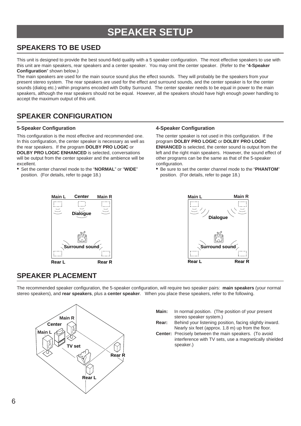# **SPEAKER SETUP**

# **SPEAKERS TO BE USED**

This unit is designed to provide the best sound-field quality with a 5 speaker configuration. The most effective speakers to use with this unit are main speakers, rear speakers and a center speaker. You may omit the center speaker. (Refer to the "**4-Speaker Configuration**" shown below.)

The main speakers are used for the main source sound plus the effect sounds. They will probably be the speakers from your present stereo system. The rear speakers are used for the effect and surround sounds, and the center speaker is for the center sounds (dialog etc.) within programs encoded with Dolby Surround. The center speaker needs to be equal in power to the main speakers, although the rear speakers should not be equal. However, all the speakers should have high enough power handling to accept the maximum output of this unit.

# **SPEAKER CONFIGURATION**

### **5-Speaker Configuration**

This configuration is the most effective and recommended one. In this configuration, the center speaker is necessary as well as the rear speakers. If the program **DOLBY PRO LOGIC** or **DOLBY PRO LOGIC ENHANCED** is selected, conversations will be output from the center speaker and the ambience will be excellent.

• Set the center channel mode to the "**NORMAL**" or "**WIDE**" position. (For details, refer to page 18.)

### **4-Speaker Configuration**

The center speaker is not used in this configuration. If the program **DOLBY PRO LOGIC** or **DOLBY PRO LOGIC ENHANCED** is selected, the center sound is output from the left and the right main speakers. However, the sound effect of other programs can be the same as that of the 5-speaker configuration.

• Be sure to set the center channel mode to the "**PHANTOM**" position. (For details, refer to page 18.)





# **SPEAKER PLACEMENT**

The recommended speaker configuration, the 5-speaker configuration, will require two speaker pairs: **main speakers** (your normal stereo speakers), and **rear speakers**, plus a **center speaker**. When you place these speakers, refer to the following.



- **Main:** In normal position. (The position of your present stereo speaker system.)
- **Rear:** Behind your listening position, facing slightly inward. Nearly six feet (approx. 1.8 m) up from the floor.
- **Center:** Precisely between the main speakers. (To avoid interference with TV sets, use a magnetically shielded speaker.)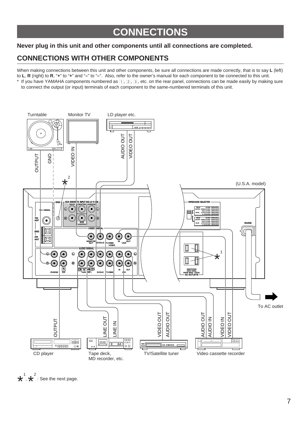# **CONNECTIONS**

### **Never plug in this unit and other components until all connections are completed.**

# **CONNECTIONS WITH OTHER COMPONENTS**

When making connections between this unit and other components, be sure all connections are made correctly, that is to say **L** (left) to **L**, **R** (right) to **R**, "**+**" to "**+**" and "**–**" to "**–**". Also, refer to the owner's manual for each component to be connected to this unit.

 $*$  If you have YAMAHA components numbered as  $\Box$ ,  $\Box$ ,  $\Box$ , etc. on the rear panel, connections can be made easily by making sure to connect the output (or input) terminals of each component to the same-numbered terminals of this unit.



 $\star^1$  $, \star^2$ : See the next page.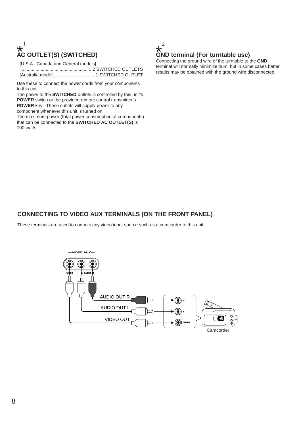# **AC OUTLET(S) (SWITCHED)**  $\star^1$ <br>AC

[U.S.A., Canada and General models]

........................................................ 2 SWITCHED OUTLETS [Australia model]................................ 1 SWITCHED OUTLET

Use these to connect the power cords from your components to this unit.

The power to the **SWITCHED** outlets is controlled by this unit's **POWER** switch or the provided remote control transmitter's **POWER** key. These outlets will supply power to any component whenever this unit is turned on.

The maximum power (total power consumption of components) that can be connected to the **SWITCHED AC OUTLET(S)** is 100 watts.



### **GND terminal (For turntable use)**

Connecting the ground wire of the turntable to the **GND** terminal will normally minimize hum, but in some cases better results may be obtained with the ground wire disconnected.

### **CONNECTING TO VIDEO AUX TERMINALS (ON THE FRONT PANEL)**

These terminals are used to connect any video input source such as a camcorder to this unit.

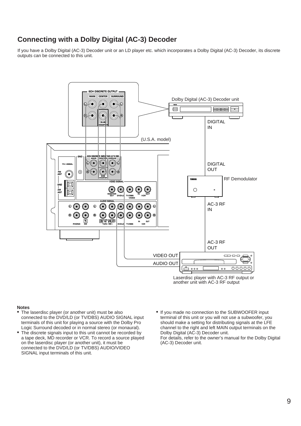# **Connecting with a Dolby Digital (AC-3) Decoder**

If you have a Dolby Digital (AC-3) Decoder unit or an LD player etc. which incorporates a Dolby Digital (AC-3) Decoder, its discrete outputs can be connected to this unit.



- The laserdisc player (or another unit) must be also connected to the DVD/LD (or TV/DBS) AUDIO SIGNAL input terminals of this unit for playing a source with the Dolby Pro Logic Surround decoded or in normal stereo (or monaural).
- The discrete signals input to this unit cannot be recorded by a tape deck, MD recorder or VCR. To record a source played on the laserdisc player (or another unit), it must be connected to the DVD/LD (or TV/DBS) AUDIO/VIDEO SIGNAL input terminals of this unit.
- If you made no connection to the SUBWOOFER input terminal of this unit or you will not use a subwoofer, you should make a setting for distributing signals at the LFE channel to the right and left MAIN output terminals on the Dolby Digital (AC-3) Decoder unit. For details, refer to the owner's manual for the Dolby Digital (AC-3) Decoder unit.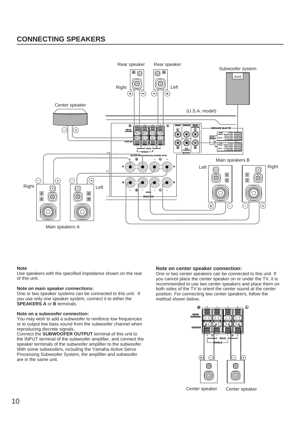# **CONNECTING SPEAKERS**



#### **Note**

Use speakers with the specified impedance shown on the rear of this unit.

#### **Note on main speaker connections:**

One or two speaker systems can be connected to this unit. If you use only one speaker system, connect it to either the **SPEAKERS A** or **B** terminals.

#### **Note on a subwoofer connection:**

You may wish to add a subwoofer to reinforce low frequencies or to output low bass sound from the subwoofer channel when reproducing discrete signals.

Connect the **SUBWOOFER OUTPUT** terminal of this unit to the INPUT terminal of the subwoofer amplifier, and connect the speaker terminals of the subwoofer amplifier to the subwoofer. With some subwoofers, including the Yamaha Active Servo Processing Subwoofer System, the amplifier and subwoofer are in the same unit.

#### **Note on center speaker connection:**

One or two center speakers can be connected to this unit. If you cannot place the center speaker on or under the TV, it is recommended to use two center speakers and place them on both sides of the TV to orient the center sound at the center position. For connecting two center speakers, follow the method shown below.



Center speaker Center speaker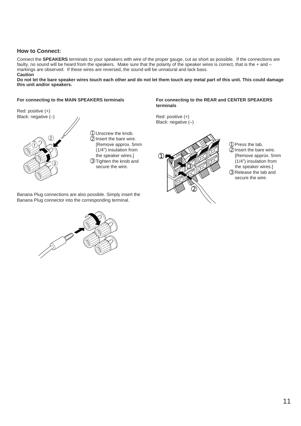### **How to Connect:**

Connect the **SPEAKERS** terminals to your speakers with wire of the proper gauge, cut as short as possible. If the connections are faulty, no sound will be heard from the speakers. Make sure that the polarity of the speaker wires is correct, that is the + and – markings are observed. If these wires are reversed, the sound will be unnatural and lack bass. **Caution**

**Do not let the bare speaker wires touch each other and do not let them touch any metal part of this unit. This could damage this unit and/or speakers.**

### **For connecting to the MAIN SPEAKERS terminals**



➀Unscrew the knob. ➁Insert the bare wire. [Remove approx. 5mm (1/4") insulation from the speaker wires.] ➂Tighten the knob and secure the wire.

Banana Plug connections are also possible. Simply insert the Banana Plug connector into the corresponding terminal.



### **For connecting to the REAR and CENTER SPEAKERS terminals**

Red: positive (+) Black: negative (-)



➀Press the tab.

- ➁Insert the bare wire. [Remove approx. 5mm (1/4") insulation from the speaker wires.]
- ➂Release the tab and secure the wire.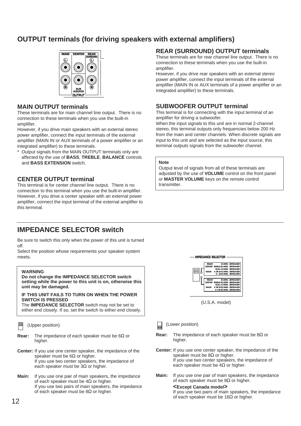# **OUTPUT terminals (for driving speakers with external amplifiers)**



### **MAIN OUTPUT terminals**

These terminals are for main channel line output. There is no connection to these terminals when you use the built-in amplifier.

However, if you drive main speakers with an external stereo power amplifier, connect the input terminals of the external amplifier (MAIN IN or AUX terminals of a power amplifier or an integrated amplifier) to these terminals.

Output signals from the MAIN OUTPUT terminals only are affected by the use of **BASS**, **TREBLE**, **BALANCE** controls and **BASS EXTENSION** switch.

### **CENTER OUTPUT terminal**

This terminal is for center channel line output. There is no connection to this terminal when you use the built-in amplifier. However, if you drive a center speaker with an external power amplifier, connect the input terminal of the external amplifier to this terminal.

# **IMPEDANCE SELECTOR switch**

Be sure to switch this only when the power of this unit is turned off.

Select the position whose requirements your speaker system meets.

#### **WARNING**

#### **Do not change the IMPEDANCE SELECTOR switch setting while the power to this unit is on, otherwise this unit may be damaged.**

### **IF THIS UNIT FAILS TO TURN ON WHEN THE POWER SWITCH IS PRESSED**

The **IMPEDANCE SELECTOR** switch may not be set to either end closely. If so, set the switch to either end closely.

(Upper position)

- **Rear:** The impedance of each speaker must be 6Ω or higher.
- **Center:** If you use one center speaker, the impedance of the speaker must be  $6\Omega$  or higher. If you use two center speakers, the impedance of each speaker must be  $3\Omega$  or higher.
- **Main:** If you use one pair of main speakers, the impedance of each speaker must be  $4\Omega$  or higher. If you use two pairs of main speakers, the impedance of each speaker must be  $8\Omega$  or higher.

### **REAR (SURROUND) OUTPUT terminals**

These terminals are for rear channel line output. There is no connection to these terminals when you use the built-in amplifier.

However, if you drive rear speakers with an external stereo power amplifier, connect the input terminals of the external amplifier (MAIN IN or AUX terminals of a power amplifier or an integrated amplifier) to these terminals.

### **SUBWOOFER OUTPUT terminal**

This terminal is for connecting with the input terminal of an amplifier for driving a subwoofer.

When the input signals to this unit are in normal 2-channel stereo, this terminal outputs only frequencies below 200 Hz from the main and center channels. When discrete signals are input to this unit and are selected as the input source, this terminal outputs signals from the subwoofer channel.

### **Note**

Output level of signals from all of these terminals are adjusted by the use of **VOLUME** control on the front panel or **MASTER VOLUME** keys on the remote control transmitter.



(U.S.A. model)

- (Lower position)
- **Rear:** The impedance of each speaker must be 8Ω or higher.
- **Center:** If you use one center speaker, the impedance of the speaker must be  $8Ω$  or higher. If you use two center speakers, the impedance of each speaker must be  $4\Omega$  or higher.
- **Main:** If you use one pair of main speakers, the impedance of each speaker must be  $8\Omega$  or higher.

**<Except Canada model>**

If you use two pairs of main speakers, the impedance of each speaker must be  $16\Omega$  or higher.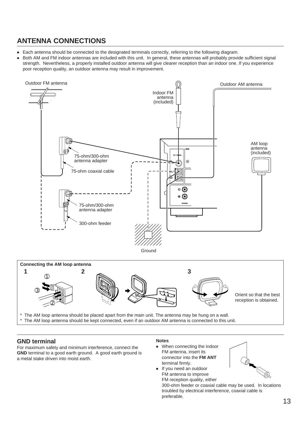# **ANTENNA CONNECTIONS**

- Each antenna should be connected to the designated terminals correctly, referring to the following diagram.
- Both AM and FM indoor antennas are included with this unit. In general, these antennas will probably provide sufficient signal strength. Nevertheless, a properly installed outdoor antenna will give clearer reception than an indoor one. If you experience poor reception quality, an outdoor antenna may result in improvement.





The AM loop antenna should be placed apart from the main unit. The antenna may be hung on a wall.

The AM loop antenna should be kept connected, even if an outdoor AM antenna is connected to this unit.

### **GND terminal**

For maximum safety and minimum interference, connect the **GND** terminal to a good earth ground. A good earth ground is a metal stake driven into moist earth.

### **Notes**

- When connecting the indoor FM antenna, insert its connector into the **FM ANT** terminal firmly.
- If you need an outdoor FM antenna to improve FM reception quality, either

300-ohm feeder or coaxial cable may be used. In locations troubled by electrical interference, coaxial cable is preferable.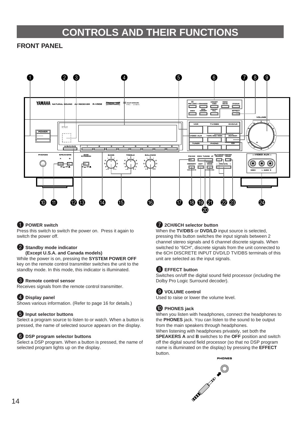# **CONTROLS AND THEIR FUNCTIONS**

### **FRONT PANEL**



### **1** POWER switch

Press this switch to switch the power on. Press it again to switch the power off.

### 2 **Standby mode indicator**

**(Except U.S.A. and Canada models)**

While the power is on, pressing the **SYSTEM POWER OFF** key on the remote control transmitter switches the unit to the standby mode. In this mode, this indicator is illuminated.

### 3 **Remote control sensor**

Receives signals from the remote control transmitter.

### 4 **Display panel**

Shows various information. (Refer to page 16 for details.)

### 5 **Input selector buttons**

Select a program source to listen to or watch. When a button is pressed, the name of selected source appears on the display.

### 6 **DSP program selector buttons**

Select a DSP program. When a button is pressed, the name of selected program lights up on the display.

### 7 **2CH/6CH selector button**

When the **TV/DBS** or **DVD/LD** input source is selected, pressing this button switches the input signals between 2 channel stereo signals and 6 channel discrete signals. When switched to "6CH", discrete signals from the unit connected to the 6CH DISCRETE INPUT DVD/LD TV/DBS terminals of this unit are selected as the input signals.

### 8 **EFFECT button**

Switches on/off the digital sound field processor (including the Dolby Pro Logic Surround decoder).

### 9 **VOLUME control**

Used to raise or lower the volume level.

### 0 **PHONES jack**

When you listen with headphones, connect the headphones to the **PHONES** jack. You can listen to the sound to be output from the main speakers through headphones.

When listening with headphones privately, set both the **SPEAKERS A** and **B** switches to the **OFF** position and switch off the digital sound field processor (so that no DSP program name is illuminated on the display) by pressing the **EFFECT** button.

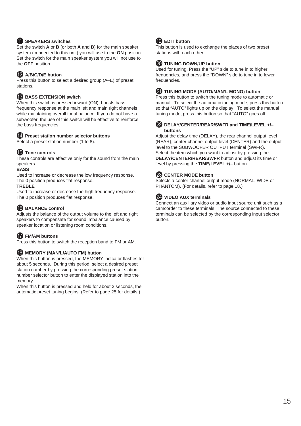### **10** SPEAKERS switches

Set the switch **A** or **B** (or both **A** and **B**) for the main speaker system (connected to this unit) you will use to the **ON** position. Set the switch for the main speaker system you will not use to the **OFF** position.

### B **A/B/C/D/E button**

Press this button to select a desired group (A–E) of preset stations.

### **B** BASS EXTENSION switch

When this switch is pressed inward (ON), boosts bass frequency response at the main left and main right channels while maintaining overall tonal balance. If you do not have a subwoofer, the use of this switch will be effective to reinforce the bass frequencies.

### D **Preset station number selector buttons**

Select a preset station number (1 to 8).

### **EXT** Tone controls

These controls are effective only for the sound from the main speakers.

### **BASS**

Used to increase or decrease the low frequency response. The 0 position produces flat response.

### **TREBLE**

Used to increase or decrease the high frequency response. The 0 position produces flat response.

### **BALANCE control**

Adjusts the balance of the output volume to the left and right speakers to compensate for sound imbalance caused by speaker location or listening room conditions.

### **GD** FM/AM buttons

Press this button to switch the reception band to FM or AM.

### **(B)** MEMORY (MAN'L/AUTO FM) button

When this button is pressed, the MEMORY indicator flashes for about 5 seconds. During this period, select a desired preset station number by pressing the corresponding preset station number selector button to enter the displayed station into the memory.

When this button is pressed and held for about 3 seconds, the automatic preset tuning begins. (Refer to page 25 for details.)

### **ID** EDIT button

This button is used to exchange the places of two preset stations with each other.

### **20** TUNING DOWN/UP button

Used for tuning. Press the "UP" side to tune in to higher frequencies, and press the "DOWN" side to tune in to lower frequencies.

### **K** TUNING MODE (AUTO/MAN'L MONO) button

Press this button to switch the tuning mode to automatic or manual. To select the automatic tuning mode, press this button so that "AUTO" lights up on the display. To select the manual tuning mode, press this button so that "AUTO" goes off.

### 22 DELAY/CENTER/REAR/SWFR and TIME/LEVEL +/**buttons**

Adjust the delay time (DELAY), the rear channel output level (REAR), center channel output level (CENTER) and the output level to the SUBWOOFER OUTPUT terminal (SWFR). Select the item which you want to adjust by pressing the **DELAY/CENTER/REAR/SWFR** button and adjust its time or level by pressing the **TIME/LEVEL +/–** button.

### **28** CENTER MODE button

Selects a center channel output mode (NORMAL, WIDE or PHANTOM). (For details, refer to page 18.)

### 24 VIDEO AUX terminals

Connect an auxiliary video or audio input source unit such as a camcorder to these terminals. The source connected to these terminals can be selected by the corresponding input selector button.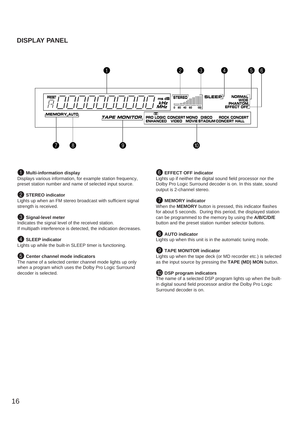### **DISPLAY PANEL**



### 1 **Multi-information display**

Displays various information, for example station frequency, preset station number and name of selected input source.

### 2 **STEREO indicator**

Lights up when an FM stereo broadcast with sufficient signal strength is received.

### 3 **Signal-level meter**

Indicates the signal level of the received station. If multipath interference is detected, the indication decreases.

### 4 **SLEEP indicator**

Lights up while the built-in SLEEP timer is functioning.

### 5 **Center channel mode indicators**

The name of a selected center channel mode lights up only when a program which uses the Dolby Pro Logic Surround decoder is selected.

### 6 **EFFECT OFF indicator**

Lights up if neither the digital sound field processor nor the Dolby Pro Logic Surround decoder is on. In this state, sound output is 2-channel stereo.

### 7 **MEMORY indicator**

When the **MEMORY** button is pressed, this indicator flashes for about 5 seconds. During this period, the displayed station can be programmed to the memory by using the **A/B/C/D/E** button and the preset station number selector buttons.

### 8 **AUTO indicator**

Lights up when this unit is in the automatic tuning mode.

### 9 **TAPE MONITOR indicator**

Lights up when the tape deck (or MD recorder etc.) is selected as the input source by pressing the **TAPE (MD) MON** button.

### 0 **DSP program indicators**

The name of a selected DSP program lights up when the builtin digital sound field processor and/or the Dolby Pro Logic Surround decoder is on.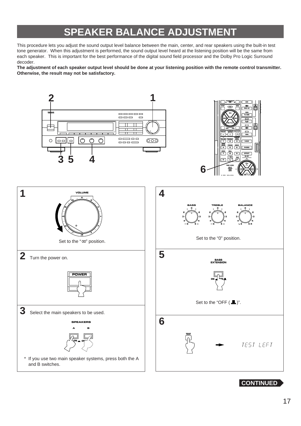# **SPEAKER BALANCE ADJUSTMENT**

This procedure lets you adjust the sound output level balance between the main, center, and rear speakers using the built-in test tone generator. When this adjustment is performed, the sound output level heard at the listening position will be the same from each speaker. This is important for the best performance of the digital sound field processor and the Dolby Pro Logic Surround decoder.

**The adjustment of each speaker output level should be done at your listening position with the remote control transmitter. Otherwise, the result may not be satisfactory.**



**CONTINUED**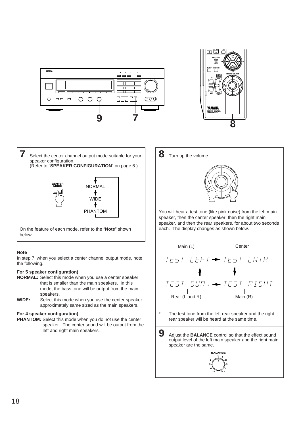



**7** Select the center channel output mode suitable for your speaker configuration. (Refer to "**SPEAKER CONFIGURATION**" on page 6.) **CENTER MODE** NORMAL WIDE PHANTOM

On the feature of each mode, refer to the "**Note**" shown below.

### **Note**

In step 7, when you select a center channel output mode, note the following.

### **For 5 speaker configuration)**

- **NORMAL:** Select this mode when you use a center speaker that is smaller than the main speakers. In this mode, the bass tone will be output from the main speakers.
- **WIDE:** Select this mode when you use the center speaker approximately same sized as the main speakers.

### **For 4 speaker configuration)**

**PHANTOM:** Select this mode when you do not use the center speaker. The center sound will be output from the left and right main speakers.

**8** Turn up the volume.



You will hear a test tone (like pink noise) from the left main speaker, then the center speaker, then the right main speaker, and then the rear speakers, for about two seconds each. The display changes as shown below.



The test tone from the left rear speaker and the right rear speaker will be heard at the same time.

**9** Adjust the **BALANCE** control so that the effect sound output level of the left main speaker and the right main speaker are the same.

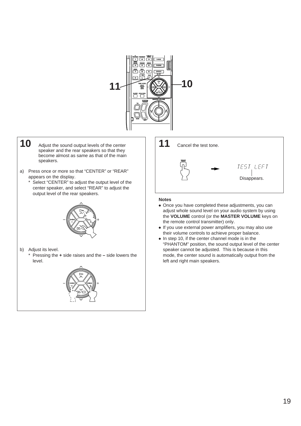

- 10 Adjust the sound output levels of the center speaker and the rear speakers so that they become almost as same as that of the main speakers.
- a) Press once or more so that "CENTER" or "REAR" appears on the display.
	- \* Select "CENTER" to adjust the output level of the center speaker, and select "REAR" to adjust the output level of the rear speakers.



b) Adjust its level.

\* Pressing the **+** side raises and the **–** side lowers the level.



**11** Cancel the test tone. **TEST** TEST LEFT Disappears.

- Once you have completed these adjustments, you can adjust whole sound level on your audio system by using the **VOLUME** control (or the **MASTER VOLUME** keys on the remote control transmitter) only.
- If you use external power amplifiers, you may also use their volume controls to achieve proper balance.
- In step 10, if the center channel mode is in the "PHANTOM" position, the sound output level of the center speaker cannot be adjusted. This is because in this mode, the center sound is automatically output from the left and right main speakers.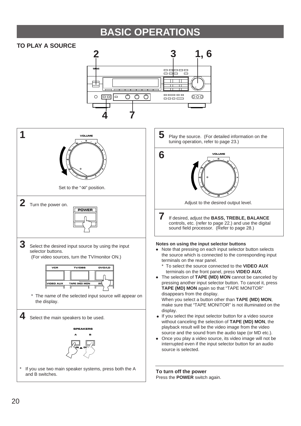# **BASIC OPERATIONS**

### **TO PLAY A SOURCE**

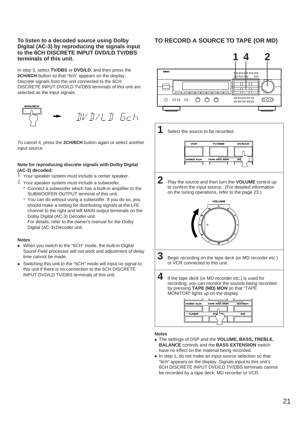### **To listen to a decoded source using Dolby Digital (AC-3) by reproducing the signals input to the 6CH DISCRETE INPUT DVD/LD TV/DBS terminals of this unit.**

In step 3, select **TV/DBS** or **DVD/LD**, and then press the **2CH/6CH** button so that "6ch" appears on the display. Discrete signals from the unit connected to the 6CH DISCRETE INPUT DVD/LD TV/DBS terminals of this unit are selected as the input signals.



To cancel it, press the **2CH/6CH** button again or select another input source.

### **Note for reproducing discrete signals with Dolby Digital (AC-3) decoded:**

1. Your speaker system must include a center speaker.

- 2. Your speaker system must include a subwoofer.
	- \* Connect a subwoofer which has a built-in amplifier to the SUBWOOFER OUTPUT terminal of this unit.
	- You can do without using a subwoofer. If you do so, you should make a setting for distributing signals at the LFE channel to the right and left MAIN output terminals on the Dolby Digital (AC-3) Decoder unit. For details, refer to the owner's manual for the Dolby

Digital (AC-3) Decoder unit.

### **Notes**

- When you switch to the "6CH" mode, the built-in Digital Sound Field processor will not work and adjustment of delay time cannot be made.
- Switching this unit to the "6CH" mode will input no signal to this unit if there is no connection to the 6CH DISCRETE INPUT DVD/LD TV/DBS terminals of this unit.

### **TO RECORD A SOURCE TO TAPE (OR MD)**





- **3** Begin recording on the tape deck (or MD recorder etc.) or VCR connected to this unit.
- **4** If the tape deck (or MD recorder etc.) is used for recording, you can monitor the sounds being recorded by pressing **TAPE (MD) MON** so that "TAPE MONITOR" lights up on the display.

| <b>VIDEO AUX</b> | <b>TAPE (MD) MON</b> | <b>2CH/6CH</b> |
|------------------|----------------------|----------------|
|                  |                      |                |
| <b>TUNER</b>     | PH                   | cв             |
|                  |                      |                |

- The settings of DSP and the **VOLUME, BASS, TREBLE, BALANCE** controls and the **BASS EXTENSION** switch have no effect on the material being recorded.
- In step 1, do not make an input source selection so that "6ch" appears on the display. Signals input to this unit's 6CH DISCRETE INPUT DVD/LD TV/DBS terminals cannot be recorded by a tape deck, MD recorder or VCR.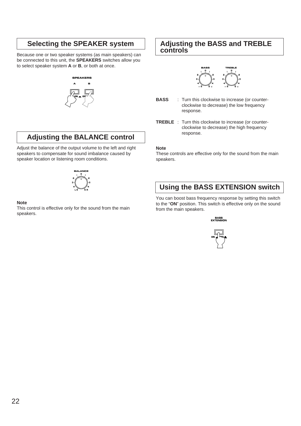# **Selecting the SPEAKER system**

Because one or two speaker systems (as main speakers) can be connected to this unit, the **SPEAKERS** switches allow you to select speaker system **A** or **B**, or both at once.

# **SPEAKERS A ON OFF B**

# **Adjusting the BALANCE control**

Adjust the balance of the output volume to the left and right speakers to compensate for sound imbalance caused by speaker location or listening room conditions.



### **Note**

This control is effective only for the sound from the main speakers.

### **Adjusting the BASS and TREBLE controls**



- **BASS** : Turn this clockwise to increase (or counterclockwise to decrease) the low frequency response.
- **TREBLE** : Turn this clockwise to increase (or counterclockwise to decrease) the high frequency response.

### **Note**

These controls are effective only for the sound from the main speakers.

# **Using the BASS EXTENSION switch**

You can boost bass frequency response by setting this switch to the "**ON**" position. This switch is effective only on the sound from the main speakers.

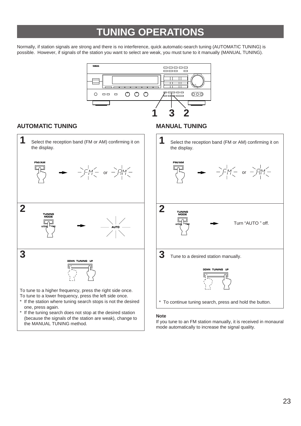# **TUNING OPERATIONS**

Normally, if station signals are strong and there is no interference, quick automatic-search tuning (AUTOMATIC TUNING) is possible. However, if signals of the station you want to select are weak, you must tune to it manually (MANUAL TUNING).



### **AUTOMATIC TUNING MANUAL TUNING**



(because the signals of the station are weak), change to the MANUAL TUNING method.



### **Note**

If you tune to an FM station manually, it is received in monaural mode automatically to increase the signal quality.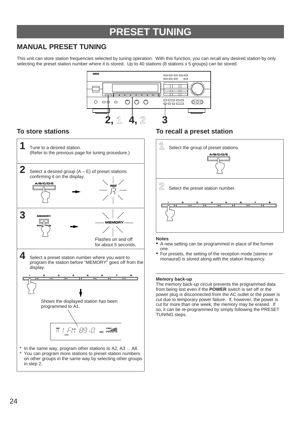# **PRESET TUNING**

# **MANUAL PRESET TUNING**

This unit can store station frequencies selected by tuning operation. With this function, you can recall any desired station by only selecting the preset station number where it is stored. Up to 40 stations (8 stations x 5 groups) can be stored.





### **To store stations To recall a preset station**



### **Notes**

- A new setting can be programmed in place of the former one.
- For presets, the setting of the reception mode (stereo or monaural) is stored along with the station frequency.

### **Memory back-up**

The memory back-up circuit prevents the programmed data from being lost even if the **POWER** switch is set off or the power plug is disconnected from the AC outlet or the power is cut due to temporary power failure. If, however, the power is cut for more than one week, the memory may be erased. If so, it can be re-programmed by simply following the PRESET TUNING steps.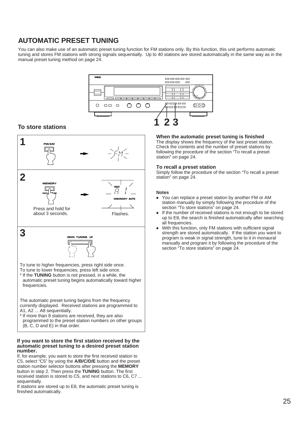# **AUTOMATIC PRESET TUNING**

You can also make use of an automatic preset tuning function for FM stations only. By this function, this unit performs automatic tuning and stores FM stations with strong signals sequentially. Up to 40 stations are stored automatically in the same way as in the manual preset tuning method on page 24.



### **To store stations**



### **If you want to store the first station received by the automatic preset tuning to a desired preset station number.**

If, for example, you want to store the first received station to C5, select "C5" by using the **A/B/C/D/E** button and the preset station number selector buttons after pressing the **MEMORY** button in step 2. Then press the **TUNING** button. The first received station is stored to C5, and next stations to C6, C7 ... sequentially.

If stations are stored up to E8, the automatic preset tuning is finished automatically.

### **When the automatic preset tuning is finished**

The display shows the frequency of the last preset station. Check the contents and the number of preset stations by following the procedure of the section "To recall a preset station" on page 24.

### **To recall a preset station**

Simply follow the procedure of the section "To recall a preset station" on page 24.

- You can replace a preset station by another FM or AM station manually by simply following the procedure of the section "To store stations" on page 24.
- If the number of received stations is not enough to be stored up to E8, the search is finished automatically after searching all frequencies.
- With this function, only FM stations with sufficient signal strength are stored automatically. If the station you want to program is weak in signal strength, tune to it in monaural manually and program it by following the procedure of the section "To store stations" on page 24.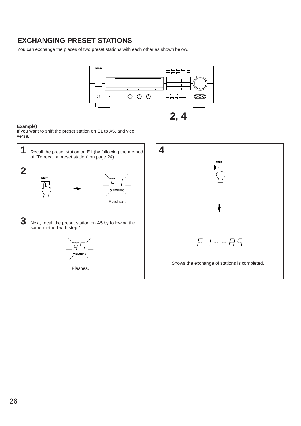# **EXCHANGING PRESET STATIONS**

You can exchange the places of two preset stations with each other as shown below.



### **Example)**

If you want to shift the preset station on E1 to A5, and vice versa.

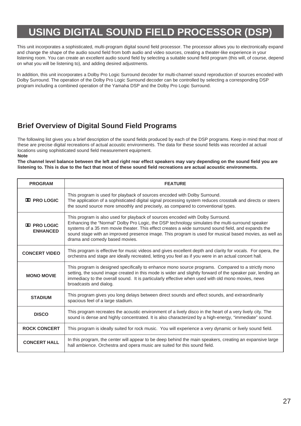# **USING DIGITAL SOUND FIELD PROCESSOR (DSP)**

This unit incorporates a sophisticated, multi-program digital sound field processor. The processor allows you to electronically expand and change the shape of the audio sound field from both audio and video sources, creating a theater-like experience in your listening room. You can create an excellent audio sound field by selecting a suitable sound field program (this will, of course, depend on what you will be listening to), and adding desired adjustments.

In addition, this unit incorporates a Dolby Pro Logic Surround decoder for multi-channel sound reproduction of sources encoded with Dolby Surround. The operation of the Dolby Pro Logic Surround decoder can be controlled by selecting a corresponding DSP program including a combined operation of the Yamaha DSP and the Dolby Pro Logic Surround.

# **Brief Overview of Digital Sound Field Programs**

The following list gives you a brief description of the sound fields produced by each of the DSP programs. Keep in mind that most of these are precise digital recreations of actual acoustic environments. The data for these sound fields was recorded at actual locations using sophisticated sound field measurement equipment.

**Note**

**The channel level balance between the left and right rear effect speakers may vary depending on the sound field you are listening to. This is due to the fact that most of these sound field recreations are actual acoustic environments.**

| <b>PROGRAM</b>                                                                                                                                                                                                                                                                                                                                                                                                                                                                                                                                                                                                                                                                                                                                                                                                                                                                                                                                                                                                                                                                                         | <b>FEATURE</b>                                                                                                                                                                                                                                                               |                |                                                                                                                                                                                                                    |
|--------------------------------------------------------------------------------------------------------------------------------------------------------------------------------------------------------------------------------------------------------------------------------------------------------------------------------------------------------------------------------------------------------------------------------------------------------------------------------------------------------------------------------------------------------------------------------------------------------------------------------------------------------------------------------------------------------------------------------------------------------------------------------------------------------------------------------------------------------------------------------------------------------------------------------------------------------------------------------------------------------------------------------------------------------------------------------------------------------|------------------------------------------------------------------------------------------------------------------------------------------------------------------------------------------------------------------------------------------------------------------------------|----------------|--------------------------------------------------------------------------------------------------------------------------------------------------------------------------------------------------------------------|
| <b>II</b> PRO LOGIC                                                                                                                                                                                                                                                                                                                                                                                                                                                                                                                                                                                                                                                                                                                                                                                                                                                                                                                                                                                                                                                                                    | This program is used for playback of sources encoded with Dolby Surround.<br>The application of a sophisticated digital signal processing system reduces crosstalk and directs or steers<br>the sound source more smoothly and precisely, as compared to conventional types. |                |                                                                                                                                                                                                                    |
| This program is also used for playback of sources encoded with Dolby Surround.<br>Enhancing the "Normal" Dolby Pro Logic, the DSP technology simulates the multi-surround speaker<br><b>II</b> PRO LOGIC<br>systems of a 35 mm movie theater. This effect creates a wide surround sound field, and expands the<br><b>ENHANCED</b><br>sound stage with an improved presence image. This program is used for musical based movies, as well as<br>drama and comedy based movies.<br>This program is effective for music videos and gives excellent depth and clarity for vocals. For opera, the<br><b>CONCERT VIDEO</b><br>orchestra and stage are ideally recreated, letting you feel as if you were in an actual concert hall.<br>This program is designed specifically to enhance mono source programs. Compared to a strictly mono<br>setting, the sound image created in this mode is wider and slightly forward of the speaker pair, lending an<br><b>MONO MOVIE</b><br>immediacy to the overall sound. It is particularly effective when used with old mono movies, news<br>broadcasts and dialog. |                                                                                                                                                                                                                                                                              |                |                                                                                                                                                                                                                    |
|                                                                                                                                                                                                                                                                                                                                                                                                                                                                                                                                                                                                                                                                                                                                                                                                                                                                                                                                                                                                                                                                                                        |                                                                                                                                                                                                                                                                              | <b>STADIUM</b> | This program gives you long delays between direct sounds and effect sounds, and extraordinarily<br>spacious feel of a large stadium.                                                                               |
|                                                                                                                                                                                                                                                                                                                                                                                                                                                                                                                                                                                                                                                                                                                                                                                                                                                                                                                                                                                                                                                                                                        |                                                                                                                                                                                                                                                                              | <b>DISCO</b>   | This program recreates the acoustic environment of a lively disco in the heart of a very lively city. The<br>sound is dense and highly concentrated. It is also characterized by a high-energy, "immediate" sound. |
| <b>ROCK CONCERT</b>                                                                                                                                                                                                                                                                                                                                                                                                                                                                                                                                                                                                                                                                                                                                                                                                                                                                                                                                                                                                                                                                                    | This program is ideally suited for rock music. You will experience a very dynamic or lively sound field.                                                                                                                                                                     |                |                                                                                                                                                                                                                    |
| In this program, the center will appear to be deep behind the main speakers, creating an expansive large<br><b>CONCERT HALL</b><br>hall ambience. Orchestra and opera music are suited for this sound field.                                                                                                                                                                                                                                                                                                                                                                                                                                                                                                                                                                                                                                                                                                                                                                                                                                                                                           |                                                                                                                                                                                                                                                                              |                |                                                                                                                                                                                                                    |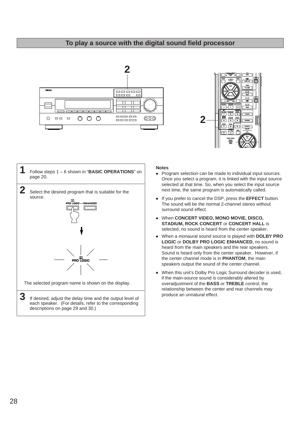### **To play a source with the digital sound field processor**







- Program selection can be made to individual input sources. Once you select a program, it is linked with the input source selected at that time. So, when you select the input source next time, the same program is automatically called.
- If you prefer to cancel the DSP, press the **EFFECT** button. The sound will be the normal 2-channel stereo without surround sound effect.
- When **CONCERT VIDEO, MONO MOVIE, DISCO, STADIUM, ROCK CONCERT** or **CONCERT HALL** is selected, no sound is heard from the center speaker.
- When a monaural sound source is played with **DOLBY PRO LOGIC** or **DOLBY PRO LOGIC ENHANCED**, no sound is heard from the main speakers and the rear speakers. Sound is heard only from the center speaker. However, if the center channel mode is in **PHANTOM**, the main speakers output the sound of the center channel.
- When this unit's Dolby Pro Logic Surround decoder is used, if the main-source sound is considerably altered by overadjustment of the **BASS** or **TREBLE** control, the relationship between the center and rear channels may produce an unnatural effect.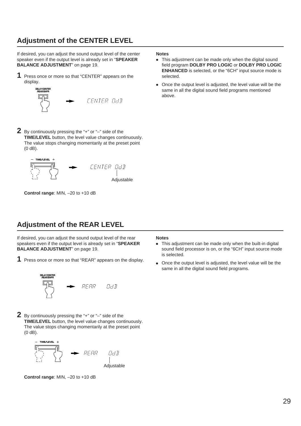# **Adjustment of the CENTER LEVEL**

If desired, you can adjust the sound output level of the center speaker even if the output level is already set in "**SPEAKER BALANCE ADJUSTMENT**" on page 19.

**1** Press once or more so that "CENTER" appears on the display.



**2** By continuously pressing the "+" or "–" side of the **TIME/LEVEL** button, the level value changes continuously. The value stops changing momentarily at the preset point (0 dB).



**Control range**: MIN, –20 to +10 dB

# **Adjustment of the REAR LEVEL**

If desired, you can adjust the sound output level of the rear speakers even if the output level is already set in "**SPEAKER BALANCE ADJUSTMENT**" on page 19.

**1** Press once or more so that "REAR" appears on the display.



**2** By continuously pressing the "+" or "–" side of the **TIME/LEVEL** button, the level value changes continuously. The value stops changing momentarily at the preset point (0 dB).



**Control range**: MIN, –20 to +10 dB

#### **Notes**

- This adjustment can be made only when the digital sound field program **DOLBY PRO LOGIC** or **DOLBY PRO LOGIC ENHANCED** is selected, or the "6CH" input source mode is selected.
- Once the output level is adjusted, the level value will be the same in all the digital sound field programs mentioned above.

- This adjustment can be made only when the built-in digital sound field processor is on, or the "6CH" input source mode is selected.
- Once the output level is adjusted, the level value will be the same in all the digital sound field programs.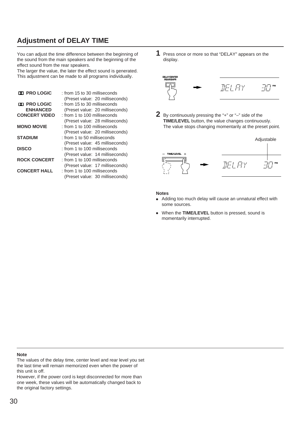# **Adjustment of DELAY TIME**

You can adjust the time difference between the beginning of the sound from the main speakers and the beginning of the effect sound from the rear speakers.

The larger the value, the later the effect sound is generated. This adjustment can be made to all programs individually.

| <b>DO PRO LOGIC</b>  | : from 15 to 30 milliseconds    |  |
|----------------------|---------------------------------|--|
|                      | (Preset value: 20 milliseconds) |  |
| <b>DO PRO LOGIC</b>  | : from 15 to 30 milliseconds    |  |
| <b>ENHANCED</b>      | (Preset value: 20 milliseconds) |  |
| <b>CONCERT VIDEO</b> | : from 1 to 100 milliseconds    |  |
|                      | (Preset value: 28 milliseconds) |  |
| <b>MONO MOVIE</b>    | : from 1 to 100 milliseconds    |  |
|                      | (Preset value: 20 milliseconds) |  |
| <b>STADIUM</b>       | : from 1 to 50 milliseconds     |  |
|                      | (Preset value: 45 milliseconds) |  |
| <b>DISCO</b>         | : from 1 to 100 milliseconds    |  |
|                      | (Preset value: 14 milliseconds) |  |
| <b>ROCK CONCERT</b>  | : from 1 to 100 milliseconds    |  |
|                      | (Preset value: 17 milliseconds) |  |
| <b>CONCERT HALL</b>  | : from 1 to 100 milliseconds    |  |
|                      | (Preset value: 30 milliseconds) |  |

**1** Press once or more so that "DELAY" appears on the display.



**2** By continuously pressing the "+" or "–" side of the **TIME/LEVEL** button, the value changes continuously. The value stops changing momentarily at the preset point.



#### **Notes**

- Adding too much delay will cause an unnatural effect with some sources.
- When the **TIME/LEVEL** button is pressed, sound is momentarily interrupted.

#### **Note**

The values of the delay time, center level and rear level you set the last time will remain memorized even when the power of this unit is off.

However, if the power cord is kept disconnected for more than one week, these values will be automatically changed back to the original factory settings.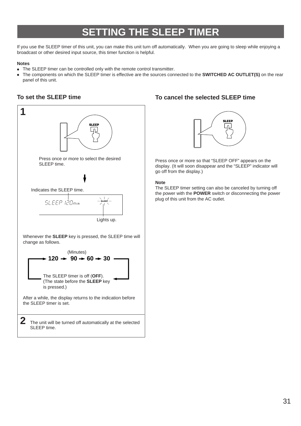# **SETTING THE SLEEP TIMER**

If you use the SLEEP timer of this unit, you can make this unit turn off automatically. When you are going to sleep while enjoying a broadcast or other desired input source, this timer function is helpful.

### **Notes**

- The SLEEP timer can be controlled only with the remote control transmitter.
- The components on which the SLEEP timer is effective are the sources connected to the **SWITCHED AC OUTLET(S)** on the rear panel of this unit.

### **To set the SLEEP time**



### **To cancel the selected SLEEP time**



Press once or more so that "SLEEP OFF" appears on the display. (It will soon disappear and the "SLEEP" indicator will go off from the display.)

### **Note**

The SLEEP timer setting can also be canceled by turning off the power with the **POWER** switch or disconnecting the power plug of this unit from the AC outlet.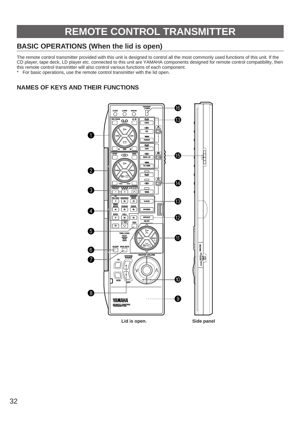# **REMOTE CONTROL TRANSMITTER**

# **BASIC OPERATIONS (When the lid is open)**

The remote control transmitter provided with this unit is designed to control all the most commonly used functions of this unit. If the CD player, tape deck, LD player etc. connected to this unit are YAMAHA components designed for remote control compatibility, then this remote control transmitter will also control various functions of each component.

For basic operations, use the remote control transmitter with the lid open.

### **NAMES OF KEYS AND THEIR FUNCTIONS**

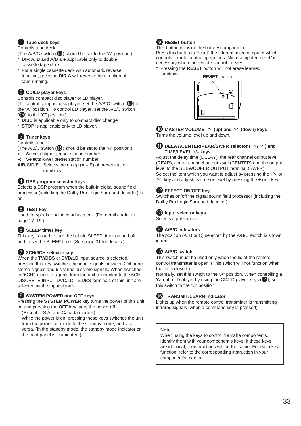### **1** Tape deck keys

Controls tape deck.

(The A/B/C switch  $(\bigcirc$ ) should be set to the "A" position.)

- **DIR A, B** and **A/B** are applicable only to double cassette tape deck.
- For a single cassette deck with automatic reverse function, pressing **DIR A** will reverse the direction of tape running.

### 2 **CD/LD player keys**

Controls compact disc player or LD player.

(To control compact disc player, set the A/B/C switch  $(\mathbf{F})$ ) to the "A" position. To control LD player, set the A/B/C switch

 $(\mathbf{\Theta})$  to the "C" position.)

- **DISC** is applicable only to compact disc changer.
- \* **STOP** is applicable only to LD player.

### 3 **Tuner keys**

Controls tuner.

(The A/B/C switch  $(\bigcirc$ ) should be set to the "A" position.)

- **+**: Selects higher preset station number.
- **–**: Selects lower preset station number.
- **A/B/C/D/E**: Selects the group (A E) of preset station numbers.

### 4 **DSP program selector keys**

Selects a DSP program when the built-in digital sound field processor (including the Dolby Pro Logic Surround decoder) is on.

### **6** TEST key

Used for speaker balance adjustment. (For details, refer to page 17–19.)

### 6 **SLEEP timer key**

This key is used to turn the built-in SLEEP timer on and off, and to set the SLEEP time. (See page 31 for details.)

### **2 2CH/6CH selector key**

When the **TV/DBS** or **DVD/LD** input source is selected, pressing this key switches the input signals between 2 channel stereo signals and 6 channel discrete signals. When switched to "6CH", discrete signals from the unit connected to the 6CH DISCRETE INPUT DVD/LD TV/DBS terminals of this unit are selected as the input signals.

### 8 **SYSTEM POWER and OFF keys**

Pressing the **SYSTEM POWER** key turns the power of this unit on and pressing the **OFF** key turns the power off.

(Except U.S.A. and Canada models) While the power is on, pressing these keys switches the unit from the power-on mode to the standby mode, and vice versa. (In the standby mode, the standby mode indicator on the front panel is illuminated.)

### **9 RESET button**

This button is inside the battery compartment.

Press this button to "reset" the internal microcomputer which controls remote control operations. Microcomputer "reset" is necessary when the remote control freezes.

Pressing the **RESET** button will not erase learned functions.



 $\bullet$  MASTER VOLUME  $\land$  (up) and  $\lor$  (down) keys Turns the volume level up and down.

### $\bf{B}$  DELAY/CENTER/REAR/SWFR selector ( $\wedge$ / $\vee$ ) and **TIME/LEVEL +/– keys**

Adjust the delay time (DELAY), the rear channel output level (REAR), center channel output level (CENTER) and the output level to the SUBWOOFER OUTPUT terminal (SWFR). Select the item which you want to adjust by pressing the  $\land$  or  $\times$  key and adjust its time or level by pressing the  $\div$  or  $-$  key.

### **B** EFFECT ON/OFF kev

Switches on/off the digital sound field processor (including the Dolby Pro Logic Surround decoder).

### C **Input selector keys**

Selects input source.

### D **A/B/C indicators**

The position (A, B or C) selected by the A/B/C switch is shown in red.

### **B** A/B/C switch

This switch must be used only when the lid of the remote control transmitter is open. (This switch will not function when the lid is closed.)

Normally, set this switch to the "A" position. When controlling a Yamaha LD player by using the CD/LD player keys  $(2)$ , set this switch to the "C" position.

### **6** TRANSMIT/LEARN indicator

Lights up when the remote control transmitter is transmitting infrared signals (when a command key is pressed).

### **Note**

When using the keys to control Yamaha components, identify them with your component's keys. If these keys are identical, their functions will be the same. For each key function, refer to the corresponding instruction in your component's manual.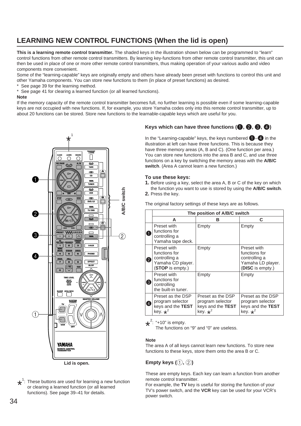# **LEARNING NEW CONTROL FUNCTIONS (When the lid is open)**

**This is a learning remote control transmitter.** The shaded keys in the illustration shown below can be programmed to "learn" control functions from other remote control transmitters. By learning key-functions from other remote control transmitter, this unit can then be used in place of one or more other remote control transmitters, thus making operation of your various audio and video components more convenient.

Some of the "learning-capable" keys are originally empty and others have already been preset with functions to control this unit and other Yamaha components. You can store new functions to them (in place of preset functions) as desired.

See page 39 for the learning method.

See page 41 for clearing a learned function (or all learned functions).

### **Note**

If the memory capacity of the remote control transmitter becomes full, no further learning is possible even if some learning-capable keys are not occupied with new functions. If, for example, you store Yamaha codes only into this remote control transmitter, up to about 20 functions can be stored. Store new functions to the learnable-capable keys which are useful for you.



 $\star$ <sup>1</sup>: These buttons are used for learning a new function<br>or clearing a learned function (or all learned or clearing a learned function (or all learned functions). See page 39–41 for details.

### **Keys which can have three functions (<b>0**, **0**, **0**)

In the "Learning-capable" keys, the keys numbered  $\bigoplus_{i=1}^n A_i$  in the illustration at left can have three functions. This is because they have three memory areas (A, B and C). (One function per area.) You can store new functions into the area B and C, and use three functions on a key by switching the memory areas with the **A/B/C switch**. (Area A cannot learn a new function.)

### **To use these keys:**

- **1.** Before using a key, select the area A, B or C of the key on which the function you want to use is stored by using the **A/B/C switch**.
- **2.** Press the key.

The original factory settings of these keys are as follows.

|                    | The position of A/B/C switch                                                           |                                                                              |                                                                                        |
|--------------------|----------------------------------------------------------------------------------------|------------------------------------------------------------------------------|----------------------------------------------------------------------------------------|
|                    | A                                                                                      | в                                                                            | C                                                                                      |
| $\mathbf{1}$       | Preset with<br>functions for<br>controlling a<br>Yamaha tape deck.                     | Empty                                                                        | Empty                                                                                  |
| $\left[ 2 \right]$ | Preset with<br>functions for<br>controlling a<br>Yamaha CD player.<br>(STOP is empty.) | Empty                                                                        | Preset with<br>functions for<br>controlling a<br>Yamaha LD player.<br>(DISC is empty.) |
| 3                  | Preset with<br>functions for<br>controlling<br>the built-in tuner.                     | Empty                                                                        | Empty                                                                                  |
| $\overline{4}$     | Preset as the DSP<br>program selector<br>keys and the TEST<br>key. $\star^2$           | Preset as the DSP<br>program selector<br>keys and the TEST<br>key. $\star^2$ | Preset as the DSP<br>program selector<br>keys and the TEST<br>key. $\star^2$           |

 $\star^2$ : "+10" is empty.<br>The functions o

The functions on "9" and "0" are useless.

### **Note**

The area A of all keys cannot learn new functions. To store new functions to these keys, store them onto the area B or C.

### **Empty keys (1, 2)**

These are empty keys. Each key can learn a function from another remote control transmitter.

For example, the **TV** key is useful for storing the function of your TV's power switch, and the **VCR** key can be used for your VCR's power switch.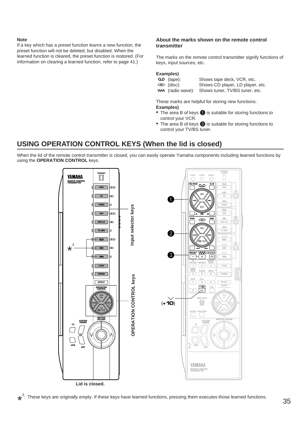### **Note**

If a key which has a preset function learns a new function, the preset function will not be deleted, but disabled. When the learned function is cleared, the preset function is restored. (For information on clearing a learned function, refer to page 41.)

### **About the marks shown on the remote control transmitter**

The marks on the remote control transmitter signify functions of keys, input sources, etc.

### **Examples)**

| $Q$ (tape):            | Shows tape deck, VCR, etc.                             |
|------------------------|--------------------------------------------------------|
| $\circledcirc$ (disc): | Shows CD player, LD player, etc.                       |
|                        | <b>WA</b> (radio wave): Shows tuner, TV/BS tuner, etc. |

These marks are helpful for storing new functions. **Examples)**

- The area B of keys  $\bigcirc$  is suitable for storing functions to control your VCR.
- The area B of keys <sup>3</sup> is suitable for storing functions to control your TV/BS tuner.

# **USING OPERATION CONTROL KEYS (When the lid is closed)**

When the lid of the remote control transmitter is closed, you can easily operate Yamaha components including learned functions by using the **OPERATION CONTROL** keys.



 $\star^3$ : These keys are originally empty. If these keys have learned functions, pressing them executes those learned functions.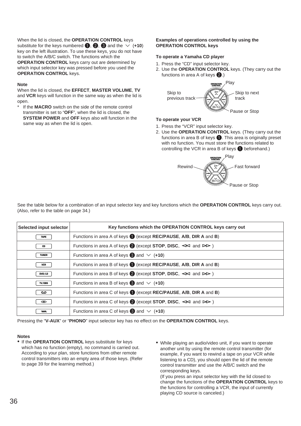When the lid is closed, the **OPERATION CONTROL** keys substitute for the keys numbered  $\bigcirc$ ,  $\bigcirc$ ,  $\bigcirc$  and the  $\vee$  (+10) key on the left illustration. To use these keys, you do not have to switch the A/B/C switch. The functions which the **OPERATION CONTROL** keys carry out are determined by which input selector key was pressed before you used the **OPERATION CONTROL** keys.

### **Note**

When the lid is closed, the **EFFECT**, **MASTER VOLUME**, **TV** and **VCR** keys will function in the same way as when the lid is open.

If the **MACRO** switch on the side of the remote control transmitter is set to "**OFF**", when the lid is closed, the **SYSTEM POWER** and **OFF** keys also will function in the same way as when the lid is open.

### **Examples of operations controlled by using the OPERATION CONTROL keys**

### **To operate a Yamaha CD player**

- 1. Press the "CD" input selector key.
- 2. Use the **OPERATION CONTROL** keys. (They carry out the functions in area A of keys  $\bigcirc$ .)



### **To operate your VCR**

- 1. Press the "VCR" input selector key.
- 2. Use the **OPERATION CONTROL** keys. (They carry out the functions in area B of keys  $\bigcirc$ . This area is originally preset with no function. You must store the functions related to controlling the VCR in area B of keys  $\bigcirc$  beforehand.)



See the table below for a combination of an input selector key and key functions which the **OPERATION CONTROL** keys carry out. (Also, refer to the table on page 34.)

| Selected input selector | Key functions which the OPERATION CONTROL keys carry out                                |
|-------------------------|-----------------------------------------------------------------------------------------|
| <b>TAPE</b>             | Functions in area A of keys (except REC/PAUSE, A/B, DIR A and B)                        |
| CD                      | Functions in area A of keys $\bullet$ (except STOP, DISC, $\leq$ and $\triangleright$ ) |
| <b>TUNER</b>            | Functions in area A of keys $\bigcirc$ and $\vee$ (+10)                                 |
| VCR                     | Functions in area B of keys (except REC/PAUSE, A/B, DIR A and B)                        |
| DVD/LD                  | Functions in area B of keys $\bullet$ (except STOP, DISC, $\leq$ and $\gt$ )            |
| TV/DBS                  | Functions in area B of keys $\bigcirc$ and $\vee$ (+10)                                 |
| مه                      | Functions in area C of keys (except REC/PAUSE, A/B, DIR A and B)                        |
| ◉                       | Functions in area C of keys $\bullet$ (except STOP, DISC, $\leq$ and $\geq$ )           |
| <b>ww</b>               | Functions in area C of keys $\bigcirc$ and $\vee$ (+10)                                 |

Pressing the "**V-AUX**" or "**PHONO**" input selector key has no effect on the **OPERATION CONTROL** keys.

#### **Notes**

- If the **OPERATION CONTROL** keys substitute for keys which has no function (empty), no command is carried out. According to your plan, store functions from other remote control transmitters into an empty area of those keys. (Refer to page 39 for the learning method.)
- While playing an audio/video unit, if you want to operate another unit by using the remote control transmitter (for example, if you want to rewind a tape on your VCR while listening to a CD), you should open the lid of the remote control transmitter and use the A/B/C switch and the corresponding keys.

(If you press an input selector key with the lid closed to change the functions of the **OPERATION CONTROL** keys to the functions for controlling a VCR, the input of currently playing CD source is canceled.)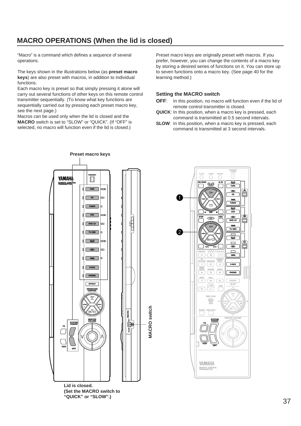# **MACRO OPERATIONS (When the lid is closed)**

"Macro" is a command which defines a sequence of several operations.

The keys shown in the illustrations below (as **preset macro keys**) are also preset with macros, in addition to individual functions.

Each macro key is preset so that simply pressing it alone will carry out several functions of other keys on this remote control transmitter sequentially. (To know what key functions are sequentially carried out by pressing each preset macro key, see the next page.)

Macros can be used only when the lid is closed and the **MACRO** switch is set to "SLOW" or "QUICK". (If "OFF" is selected, no macro will function even if the lid is closed.)

Preset macro keys are originally preset with macros. If you prefer, however, you can change the contents of a macro key by storing a desired series of functions on it. You can store up to seven functions onto a macro key. (See page 40 for the learning method.)

### **Setting the MACRO switch**

- **OFF**: In this position, no macro will function even if the lid of remote control transmitter is closed.
- **QUICK**: In this position, when a macro key is pressed, each command is transmitted at 0.5 second intervals.
- **SLOW**: In this position, when a macro key is pressed, each command is transmitted at 3 second intervals.

**TAPE**

 $\bigcirc$ 

**TRANSMIT /LEARN**

**CD**

E

**A**



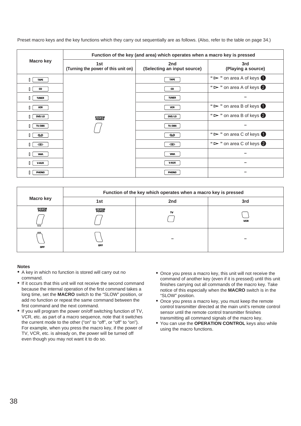Preset macro keys and the key functions which they carry out sequentially are as follows. (Also, refer to the table on page 34.)

|                  | Function of the key (and area) which operates when a macro key is pressed |                                    |                                                   |
|------------------|---------------------------------------------------------------------------|------------------------------------|---------------------------------------------------|
| <b>Macro key</b> | 1st<br>(Turning the power of this unit on)                                | 2nd<br>(Selecting an input source) | 3rd<br>(Playing a source)                         |
| <b>TAPE</b>      |                                                                           | <b>TAPE</b>                        | " $\triangleright$ " on area A of keys $\bigcirc$ |
| CD               |                                                                           | CD                                 | " $\triangleright$ " on area A of keys 2          |
| <b>TUNER</b>     |                                                                           | <b>TUNER</b>                       |                                                   |
| VCR              |                                                                           | VCR                                | " $\triangleright$ " on area B of keys            |
| DVD/LD           | <b>SYSTEM</b><br>POWER                                                    | DVD/LD                             | " $\triangleright$ " on area B of keys 2          |
| TV/DBS           |                                                                           | TV/DBS                             |                                                   |
| ൦                |                                                                           | ൦                                  | " $\triangleright$ " on area C of keys            |
| $\circledcirc$   |                                                                           | $\circledcirc$                     | " $\triangleright$ " on area C of keys 2          |
| ww               |                                                                           | <b>ww</b>                          |                                                   |
| <b>V-AUX</b>     |                                                                           | <b>V-AUX</b>                       |                                                   |
| <b>PHONO</b>     |                                                                           | PHONO                              |                                                   |

|                           | Function of the key which operates when a macro key is pressed |     |            |
|---------------------------|----------------------------------------------------------------|-----|------------|
| <b>Macro key</b>          | 1st                                                            | 2nd | 3rd        |
| <b>SYSTEM</b><br>$\equiv$ | <b>SYSTEM</b><br>POWER                                         | TV  | <b>VCR</b> |
| <b>OFF</b>                | <b>OFF</b>                                                     |     |            |

- A key in which no function is stored will carry out no command.
- If it occurs that this unit will not receive the second command because the internal operation of the first command takes a long time, set the **MACRO** switch to the "SLOW" position, or add no function or repeat the same command between the first command and the next command.
- If you will program the power on/off switching function of TV, VCR, etc. as part of a macro sequence, note that it switches the current mode to the other ("on" to "off", or "off" to "on"). For example, when you press the macro key, if the power of TV, VCR, etc. is already on, the power will be turned off even though you may not want it to do so.
- Once you press a macro key, this unit will not receive the command of another key (even if it is pressed) until this unit finishes carrying out all commands of the macro key. Take notice of this especially when the **MACRO** switch is in the "SLOW" position.
- Once you press a macro key, you must keep the remote control transmitter directed at the main unit's remote control sensor until the remote control transmitter finishes transmitting all command signals of the macro key.
- You can use the **OPERATION CONTROL** keys also while using the macro functions.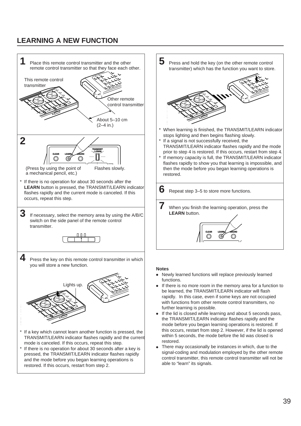# **LEARNING A NEW FUNCTION**





- Newly learned functions will replace previously learned functions.
- If there is no more room in the memory area for a function to be learned, the TRANSMIT/LEARN indicator will flash rapidly. In this case, even if some keys are not occupied with functions from other remote control transmitters, no further learning is possible.
- If the lid is closed while learning and about 5 seconds pass, the TRANSMIT/LEARN indicator flashes rapidly and the mode before you began learning operations is restored. If this occurs, restart from step 2. However, if the lid is opened within 5 seconds, the mode before the lid was closed is restored.
- There may occasionally be instances in which, due to the signal-coding and modulation employed by the other remote control transmitter, this remote control transmitter will not be able to "learn" its signals.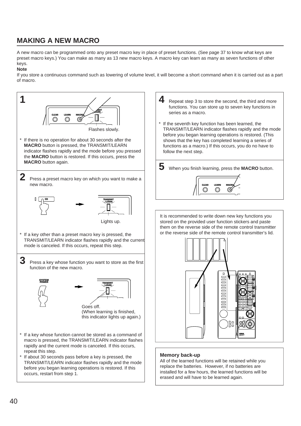# **MAKING A NEW MACRO**

A new macro can be programmed onto any preset macro key in place of preset functions. (See page 37 to know what keys are preset macro keys.) You can make as many as 13 new macro keys. A macro key can learn as many as seven functions of other keys.

### **Note**

If you store a continuous command such as lowering of volume level, it will become a short command when it is carried out as a part of macro.

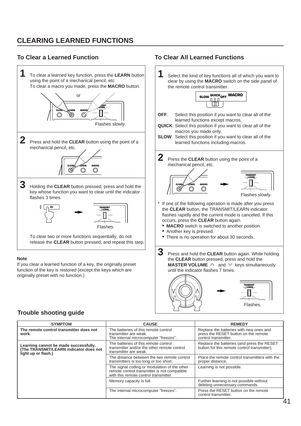# **CLEARING LEARNED FUNCTIONS**

### **To Clear a Learned Function To Clear All Learned Functions**



### **Trouble shooting guide**

| <b>SYMPTOM</b>                                                                                         | <b>CAUSE</b>                                                                                                                          | <b>REMEDY</b>                                                                                           |
|--------------------------------------------------------------------------------------------------------|---------------------------------------------------------------------------------------------------------------------------------------|---------------------------------------------------------------------------------------------------------|
| The remote control transmitter does not<br>work.                                                       | The batteries of this remote control<br>transmitter are weak.<br>The internal microcomputer "freezes".                                | Replace the batteries with new ones and<br>press the RESET button on the remote<br>control transmitter. |
| Learning cannot be made successfully.<br>(The TRANSMIT/LEARN indicator does not<br>light up or flash.) | The batteries of this remote control<br>transmitter and/or the other remote control<br>transmitter are weak.                          | Replace the batteries (and press the RESET<br>button for this remote control transmitter).              |
|                                                                                                        | The distance between the two remote control<br>transmitters is too long or too short.                                                 | Place the remote control transmitters with the<br>proper distance.                                      |
|                                                                                                        | The signal coding or modulation of the other<br>remote control transmitter is not compatible<br>with this remote control transmitter. | Learning is not possible.                                                                               |
|                                                                                                        | Memory capacity is full.                                                                                                              | Further learning is not possible without<br>deleting unnecessary commands.                              |
|                                                                                                        | The internal microcomputer "freezes".                                                                                                 | Press the RESET button on the remote<br>control transmitter.                                            |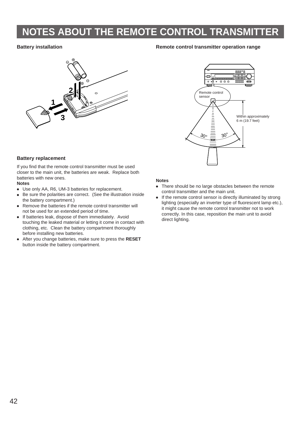# **NOTES ABOUT THE REMOTE CONTROL TRANSMITTER**

### **Battery installation**



### **Remote control transmitter operation range**



### **Battery replacement**

If you find that the remote control transmitter must be used closer to the main unit, the batteries are weak. Replace both batteries with new ones.

### **Notes**

- Use only AA, R6, UM-3 batteries for replacement.
- Be sure the polarities are correct. (See the illustration inside the battery compartment.)
- Remove the batteries if the remote control transmitter will not be used for an extended period of time.
- If batteries leak, dispose of them immediately. Avoid touching the leaked material or letting it come in contact with clothing, etc. Clean the battery compartment thoroughly before installing new batteries.
- After you change batteries, make sure to press the **RESET** button inside the battery compartment.

- There should be no large obstacles between the remote control transmitter and the main unit.
- If the remote control sensor is directly illuminated by strong lighting (especially an inverter type of fluorescent lamp etc.), it might cause the remote control transmitter not to work correctly. In this case, reposition the main unit to avoid direct lighting.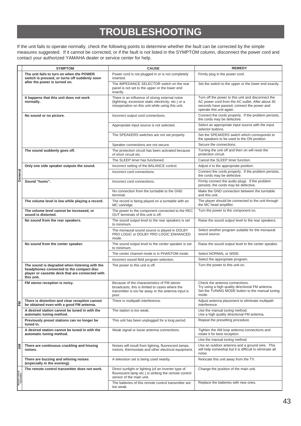# **TROUBLESHOOTING**

If the unit fails to operate normally, check the following points to determine whether the fault can be corrected by the simple measures suggested. If it cannot be corrected, or if the fault is not listed in the SYMPTOM column, disconnect the power cord and contact your authorized YAMAHA dealer or service center for help.

|                | <b>SYMPTOM</b>                                                                                                                                             | <b>CAUSE</b>                                                                                                                                                  | <b>REMEDY</b>                                                                                                                                                                    |
|----------------|------------------------------------------------------------------------------------------------------------------------------------------------------------|---------------------------------------------------------------------------------------------------------------------------------------------------------------|----------------------------------------------------------------------------------------------------------------------------------------------------------------------------------|
|                | The unit fails to turn on when the POWER<br>switch is pressed, or turns off suddenly soon                                                                  | Power cord is not plugged in or is not completely<br>inserted.                                                                                                | Firmly plug in the power cord.                                                                                                                                                   |
|                | after the power is turned on.                                                                                                                              | The IMPEDANCE SELECTOR switch on the rear<br>panel is not set to the upper or the lower end<br>exactly.                                                       | Set the switch to the upper or the lower end exactly.                                                                                                                            |
|                | It happens that this unit does not work<br>normally.                                                                                                       | There is an influence of strong external noise<br>(lightning, excessive static electricity, etc.) or a<br>misoperation on this unit while using this unit.    | Turn off the power to this unit and disconnect the<br>AC power cord from the AC outlet. After about 30<br>seconds have passed, connect the power and<br>operate this unit again. |
|                | No sound or no picture.                                                                                                                                    | Incorrect output cord connections.                                                                                                                            | Connect the cords properly. If the problem persists,<br>the cords may be defective.                                                                                              |
|                |                                                                                                                                                            | Appropriate input source is not selected.                                                                                                                     | Select an appropriate input source with the input<br>selector buttons.                                                                                                           |
|                |                                                                                                                                                            | The SPEAKERS switches are not set properly.                                                                                                                   | Set the SPEAKERS switch which corresponds to<br>the speakers to be used to the ON position.                                                                                      |
|                |                                                                                                                                                            | Speaker connections are not secure.                                                                                                                           | Secure the connections.                                                                                                                                                          |
|                | The sound suddenly goes off.                                                                                                                               | The protection circuit has been activated because<br>of short circuit etc.                                                                                    | Turning the unit off and then on will reset the<br>protection circuit.                                                                                                           |
|                |                                                                                                                                                            | The SLEEP timer has functioned.                                                                                                                               | Cancel the SLEEP timer function.                                                                                                                                                 |
|                | Only one side speaker outputs the sound.                                                                                                                   | Incorrect setting of the BALANCE control.                                                                                                                     | Adjust it to the appropriate position.                                                                                                                                           |
| General        |                                                                                                                                                            | Incorrect cord connections.                                                                                                                                   | Connect the cords properly. If the problem persists,<br>the cords may be defective.                                                                                              |
|                | Sound "hums".                                                                                                                                              | Incorrect cord connections.                                                                                                                                   | Firmly connect the audio plugs. If the problem<br>persists, the cords may be defective.                                                                                          |
|                |                                                                                                                                                            | No connection from the turntable to the GND<br>terminal.                                                                                                      | Make the GND connection between the turntable<br>and this unit.                                                                                                                  |
|                | The volume level is low while playing a record.                                                                                                            | The record is being played on a turntable with an<br>MC cartridge.                                                                                            | The player should be connected to the unit through<br>the MC head amplifier.                                                                                                     |
|                | The volume level cannot be increased, or<br>sound is distorted.                                                                                            | The power to the component connected to the REC<br>OUT terminals of this unit is off.                                                                         | Turn the power to the component on.                                                                                                                                              |
|                | No sound from the rear speakers.                                                                                                                           | The sound output level to the rear speakers is set<br>to minimum.                                                                                             | Raise the sound output level to the rear speakers.                                                                                                                               |
|                |                                                                                                                                                            | The monaural sound source is played in DOLBY<br>PRO LOGIC or DOLBY PRO LOGIC ENHANCED<br>mode.                                                                | Select another program suitable for the monaural<br>sound source.                                                                                                                |
|                | No sound from the center speaker.                                                                                                                          | The sound output level to the center speaker is set<br>to minimum.                                                                                            | Raise the sound output level to the center speaker.                                                                                                                              |
|                |                                                                                                                                                            | The center channel mode is in PHANTOM mode.                                                                                                                   | Select NORMAL or WIDE.                                                                                                                                                           |
|                |                                                                                                                                                            | Incorrect sound field program selection.                                                                                                                      | Select the appropriate program.                                                                                                                                                  |
|                | The sound is degraded when listening with the<br>headphones connected to the compact disc<br>player or cassette deck that are connected with<br>this unit. | The power to this unit is off.                                                                                                                                | Turn the power to this unit on.                                                                                                                                                  |
|                | FM stereo reception is noisy.                                                                                                                              | Because of the characteristics of FM stereo<br>broadcasts, this is limited to cases where the<br>transmitter is too far away or the antenna input is<br>poor. | Check the antenna connections.<br>Try using a high quality directional FM antenna.<br>Set the TUNING MODE button to the manual tuning  <br>mode.                                 |
| 뎖              | There is distortion and clear reception cannot<br>be obtained even with a good FM antenna.                                                                 | There is multipath interference.                                                                                                                              | Adjust antenna placement to eliminate multipath<br>interference.                                                                                                                 |
|                | A desired station cannot be tuned in with the<br>automatic tuning method.                                                                                  | The station is too weak.                                                                                                                                      | Use the manual tuning method.<br>Use a high quality directional FM antenna.                                                                                                      |
|                | Previously preset stations can no longer be<br>tuned in.                                                                                                   | This unit has been unplugged for a long period.                                                                                                               | Repeat the presetting procedure.                                                                                                                                                 |
|                | A desired station cannot be tuned in with the<br>automatic tuning method.                                                                                  | Weak signal or loose antenna connections.                                                                                                                     | Tighten the AM loop antenna connections and<br>rotate it for best reception.<br>Use the manual tuning method.                                                                    |
| R⊠             | There are continuous crackling and hissing<br>noises.                                                                                                      | Noises will result from ligtning, fluorescent lamps,<br>motors, thermostats and other electrical equipment.                                                   | Use an outdoor antenna and a ground wire. This<br>will help somewhat but it is difficult to eliminate all<br>noise.                                                              |
|                | There are buzzing and whining noises<br>(especially in the evening).                                                                                       | A television set is being used nearby.                                                                                                                        | Relocate this unit away from the TV.                                                                                                                                             |
| Remote control | The remote control transmitter does not work.                                                                                                              | Direct sunlight or lighting (of an inverter type of<br>flourescent lamp etc.) is striking the remote control<br>sensor of the main unit.                      | Change the position of the main unit.                                                                                                                                            |
|                |                                                                                                                                                            | The batteries of this remote control transmitter are<br>too weak.                                                                                             | Replace the batteries with new ones.                                                                                                                                             |